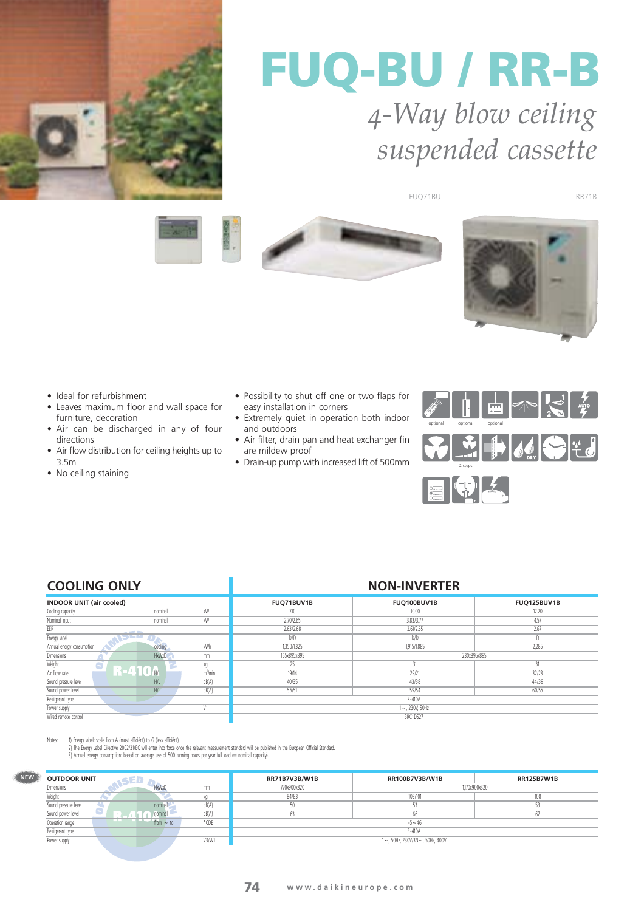

# **FUQ-BU / RR-B** *4-Way blow ceiling suspended cassette*

FUQ71BU

RR71B







- Ideal for refurbishment
- Leaves maximum floor and wall space for furniture, decoration
- Air can be discharged in any of four directions
- Air flow distribution for ceiling heights up to 3.5m
- No ceiling staining
- Possibility to shut off one or two flaps for easy installation in corners
- Extremely quiet in operation both indoor and outdoors
- Air filter, drain pan and heat exchanger fin are mildew proof
- Drain-up pump with increased lift of 500mm



### **COOLING ONLY NON-INVERTER**

| <b>COOLING ONLI</b>             |         |                     | IVVIVTIIVVLIVI LIV |                  |             |  |
|---------------------------------|---------|---------------------|--------------------|------------------|-------------|--|
| <b>INDOOR UNIT (air cooled)</b> |         |                     | FUQ71BUV1B         | FUQ100BUV1B      | FUQ125BUV1B |  |
| Cooling capacity                | nominal | kW                  | 7.10               | 10.00            | 12.20       |  |
| Nominal input                   | nominal | kW                  | 2.70/2.65          | 3.83/3.77        | 4.57        |  |
| EER<br><b>STATE OF</b>          |         |                     | 2.63/2.68          | 2.61/2.65        | 2.67        |  |
| rai i v<br>Energy label         |         |                     | D/D                | D/D              |             |  |
| Annual energy consumption       | cooling | kWh                 | 1,350/1,325        | 1,915/1,885      | 2,285       |  |
| Dimensions<br>HxWxD<br>mm       |         |                     | 165x895x895        | 230x895x895      |             |  |
| Weight                          |         |                     | 25                 | 31               | 31          |  |
| Air flow rate                   | H/L     | m <sup>3</sup> /min | 19/14              | 29/21            | 32/23       |  |
| Sound pressure level            | H/L     | dB(A)               | 40/35              | 43/38            | 44/39       |  |
| Sound power level               | H/L     | dB(A)               | 56/51              | 59/54            | 60/55       |  |
| Refrigerant type                |         |                     | R-410A             |                  |             |  |
| Power supply                    |         | V <sub>1</sub>      |                    | $1 - 230V, 50Hz$ |             |  |
| Wired remote control            |         |                     | <b>BRC1D527</b>    |                  |             |  |

**NEW**

Notes: 11) Energy label: scale from A (most efficiënt) to G (less efficiënt).<br>2) The Energy Label Directive 2002/31/EC will enter into force once the relevant measurement standard will be published in the European Official

| <b>OUTDOOR UNIT</b>              | .een × |             |                | <b>RR71B7V3B/W1B</b> | <b>RR100B7V3B/W1B</b>          | <b>RR125B7W1B</b> |
|----------------------------------|--------|-------------|----------------|----------------------|--------------------------------|-------------------|
| <b>HxWxD</b><br>Dimensions<br>mm |        |             |                | 770x900x320          | 1,170x900x320                  |                   |
| Weight                           |        |             |                | 84/83                | 103/101                        | 108               |
| Sound pressure level             |        | nominal     | dB(A)          | 50                   |                                |                   |
| Sound power level                |        | nominal     | dB(A)          | 63                   | 66                             |                   |
| Operation range                  |        | $from - to$ | $^{\circ}$ CDB |                      | $-5 - 46$                      |                   |
| Refrigerant type                 |        |             |                |                      | R-410A                         |                   |
| Power supply                     |        |             | V3/W1          |                      | 1~, 50Hz, 230V/3N~, 50Hz, 400V |                   |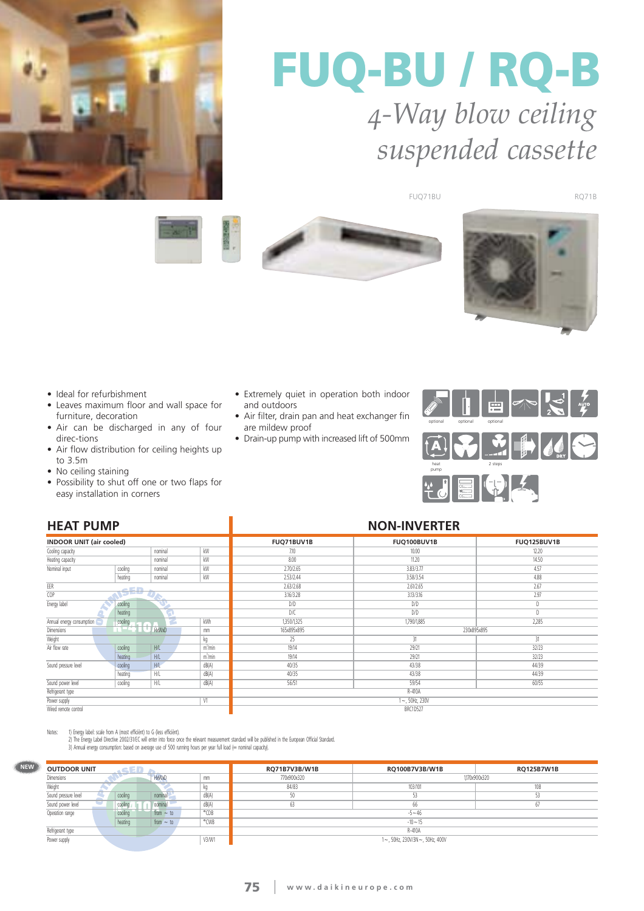

# **FUQ-BU / RQ-B** *4-Way blow ceiling suspended cassette*

FUQ71BU RQ71B







- Ideal for refurbishment
- Leaves maximum floor and wall space for furniture, decoration
- Air can be discharged in any of four direc-tions
- Air flow distribution for ceiling heights up to 3.5m
- No ceiling staining
- Possibility to shut off one or two flaps for easy installation in corners

### • Extremely quiet in operation both indoor and outdoors • Air filter, drain pan and heat exchanger fin

- are mildew proof
- Drain-up pump with increased lift of 500mm



### **HEAT PUMP NON-INVERTER INDOOR UNIT (air cooled) FUQ71BUV1B FUQ100BUV1B FUQ125BUV1B FUQ125BUV1B FUQ125BUV1B FUQ125BUV1B FUQ125BUV1B** Cooling capacity **cooling capacity** nominal kW<br> **Heating capacity** nominal kW<br> **Reating capacity** 7.10 10.00 12.20 Heating capacity nominal nominal kwa 8.00 **11.20** 11.20 **11.20** 11.20 **11.50** Nominal input cooling and cooling nominal cooling nominal kW 2.70/2.65 3.83/3.77 4.57 heating nominal kW 2.53/2.44 3.58/3.54 and 3.58/3.54 and 3.58/3.54 and 3.58/3.54 and 3.58/3.54 and 3.58/3.54 and 3.58/3.54 and 3.58/3.54 and 3.58/3.54 and 3.58/3.54 and 3.58/3.54 and 3.58/3.54 and 3.58/3.54 and 3.58/3.54 and 3.58/3.54 and 3. EER 2.63/2.68 and the contract of the contract of the contract of the contract of the contract of the contract of the contract of the contract of the contract of the contract of the contract of the contract of the contract of  $\sim$  $\overline{CD}$ 3.16/3.28 3.13/3.16 2.97 Energy label cooling D/D D/D D/D D/D D heating D/C D/D D/D D/D D Annual energy consumption cooling cooling and cooling kWh 1,350/1,325 1,790/1,885 2,285 Dimensions **Harbour Manual Manual Manual Manual Manual Manual Manual Manual Manual Manual Manual Manual Manual Manual Manual Manual Manual Manual Manual Manual Manual Manual Manual Manual Manual Manual Manual Manual Manual** 165x895x895 230x895x895 Weight kg<br>Air flow rate cooling H/L m<sup>3</sup> 25 31 31  $\frac{m^3}{m^3}$ 19/14 29/21 32/23 heating H/L m<sup>3</sup>/mi<br>cooling H/L dB(A)  $\frac{1}{\frac{m^3}{m}}$ 19/14 29/21 32/23 Sound pressure level cooling H/L dB(A)<br>heating H/L dB(A) 40/35 43/38 44/39 heating H/L dB(A)<br>| cooling | H/L dB(A) 40/35 43/38 44/39 Sound power level 56/51 59/54 60/55 Refrigerant type R-410A Power supply **V1**  $1 - 50$ Hz, 230 Wired remote control BRC1D527

Notes: 1) Energy label: scale from A (most efficiënt) to G (less efficiënt).

**NEW** 

2) The Energy Label Directive 2002/31/EC will enter into force once the relevant measurement standard will be published in the European Official Standard.<br>3) Annual energy consumption: based on average use of 500 running h

| <b>OUTDOOR UNIT</b><br><b>ACED</b> |                    |         |                |       | RQ71B7V3B/W1B | RQ100B7V3B/W1B                 | <b>RQ125B7W1B</b> |
|------------------------------------|--------------------|---------|----------------|-------|---------------|--------------------------------|-------------------|
| Dimensions                         | <b>HxWxD</b><br>mm |         |                |       | 770x900x320   | 1.170x900x320                  |                   |
| Weight                             |                    |         |                |       | 84/83         | 103/101                        | 108               |
| Sound pressure level               |                    | cooling | nominal        | dB(A) |               | 53                             |                   |
| Sound power level                  |                    | cooling | nominal        | dB(A) |               | 66                             | 6.                |
| Operation range                    |                    | cooling | from $\sim$ to | °CDB  |               | $-5 - 46$                      |                   |
|                                    |                    | heating | from $\sim$ to | °CWB  |               | $-10 - 15$                     |                   |
| Refrigerant type                   |                    |         |                |       |               | R-410A                         |                   |
| Power supply                       |                    |         |                | V3/W1 |               | 1~, 50Hz, 230V/3N~, 50Hz, 400V |                   |